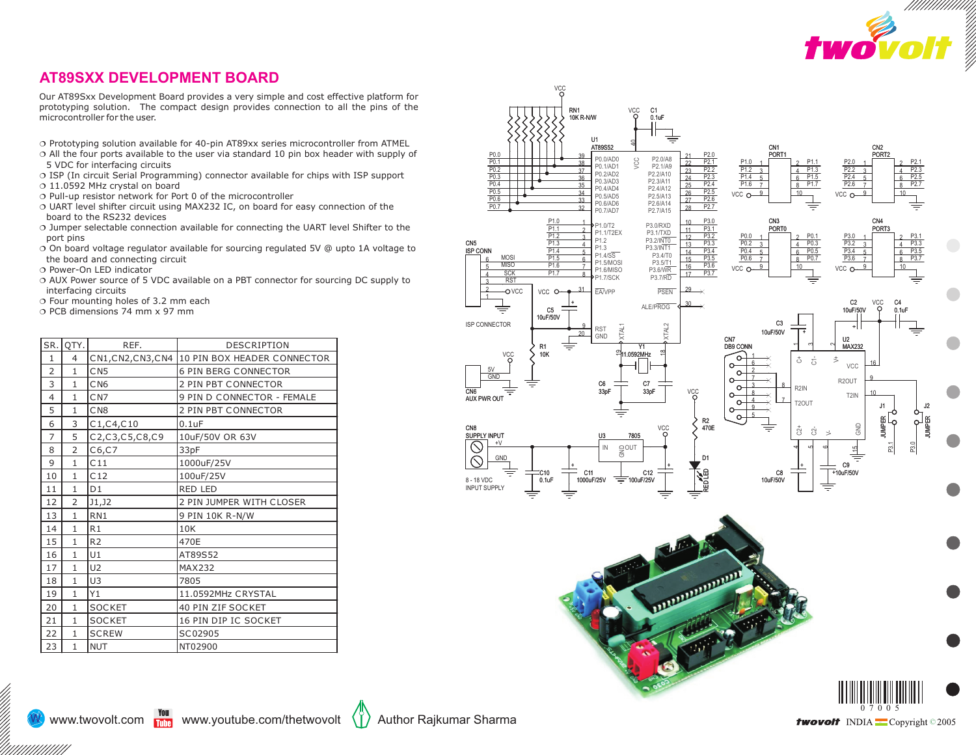

## **AT89SXX DEVELOPMENT BOARD**

Our AT89Sxx Development Board provides a very simple and cost effective platform for prototyping solution. The compact design provides connection to all the pins of the microcontroller for the user.

- 
- Prototyping solution available for 40-pin AT89xx series microcontroller from ATMEL<br>○ All the four ports available to the user via standard 10 pin box header with supply of
- § VDC for interfacing circuits<br>⊙ ISP (In circuit Serial Prograr ○ ISP (In circuit Serial Programming) connector available for chips with ISP support<br>○ 11.0592 MHz crystal on board
- $\circ$  11.0592 MHz crystal on board<br> $\circ$  Pull-up resistor network for Port 0 of the microcontroller
- Pull-up resistor network for Port 0 of the microcontroller<br>○ UART level shifter circuit using MAX232 IC, on board for easy connection of the
- ¦board to the RS232 devices Jumper selectable connection available for connecting the UART level Shifter to the
- port pins<br>○ On board voltage regulator available for sourcing regulated 5V @ upto 1A voltage to the board and connecting circuit  $\circ$  Power-On LED indicator
- 
- ⊙ Power-On LED indicator<br>○ AUX Power source of 5 VDC available on a PBT connector for sourcing DC supply to interfacing circuits<br> $\circ$  Four mounting holes of 3.2 mm each
- 
- ⊙ Four mounting holes of 3.2 mm each<br>⊙ PCB dimensions 74 mm x 97 mm

| SR.            | QTY.           | REF.            | <b>DESCRIPTION</b>                             |
|----------------|----------------|-----------------|------------------------------------------------|
| $\mathbf{1}$   | 4              |                 | CN1, CN2, CN3, CN4 10 PIN BOX HEADER CONNECTOR |
| $\overline{2}$ | $\mathbf{1}$   | CN5             | <b>6 PIN BERG CONNECTOR</b>                    |
| 3              | $\mathbf{1}$   | C <sub>N6</sub> | 2 PIN PBT CONNECTOR                            |
| $\overline{4}$ | $\mathbf{1}$   | CN7             | 9 PIN D CONNECTOR - FEMALE                     |
| 5              | $\mathbf{1}$   | C <sub>N8</sub> | 2 PIN PBT CONNECTOR                            |
| 6              | 3              | C1, C4, C10     | $0.1$ u $F$                                    |
| $\overline{7}$ | 5              | C2,C3,C5,C8,C9  | 10uF/50V OR 63V                                |
| 8              | $\overline{2}$ | C6, C7          | 33pF                                           |
| 9              | $\mathbf{1}$   | C11             | 1000uF/25V                                     |
| 10             | 1              | C12             | 100uF/25V                                      |
| 11             | $\mathbf{1}$   | D <sub>1</sub>  | <b>RED LED</b>                                 |
| 12             | $\overline{2}$ | J1,J2           | 2 PIN JUMPER WITH CLOSER                       |
| 13             | $\mathbf{1}$   | RN <sub>1</sub> | 9 PIN 10K R-N/W                                |
| 14             | $\mathbf{1}$   | R1              | 10K                                            |
| 15             | $\mathbf{1}$   | R <sub>2</sub>  | 470E                                           |
| 16             | $\mathbf{1}$   | U1              | AT89S52                                        |
| 17             | $\mathbf{1}$   | U <sub>2</sub>  | <b>MAX232</b>                                  |
| 18             | $\mathbf{1}$   | U3              | 7805                                           |
| 19             | $\mathbf{1}$   | Y1              | 11.0592MHz CRYSTAL                             |
| 20             | $\mathbf{1}$   | <b>SOCKET</b>   | 40 PIN ZIF SOCKET                              |
| 21             | $\mathbf{1}$   | <b>SOCKET</b>   | 16 PIN DIP IC SOCKET                           |
| 22             | $\mathbf{1}$   | <b>SCREW</b>    | SC02905                                        |
| 23             | $\mathbf{1}$   | <b>NUT</b>      | NT02900                                        |





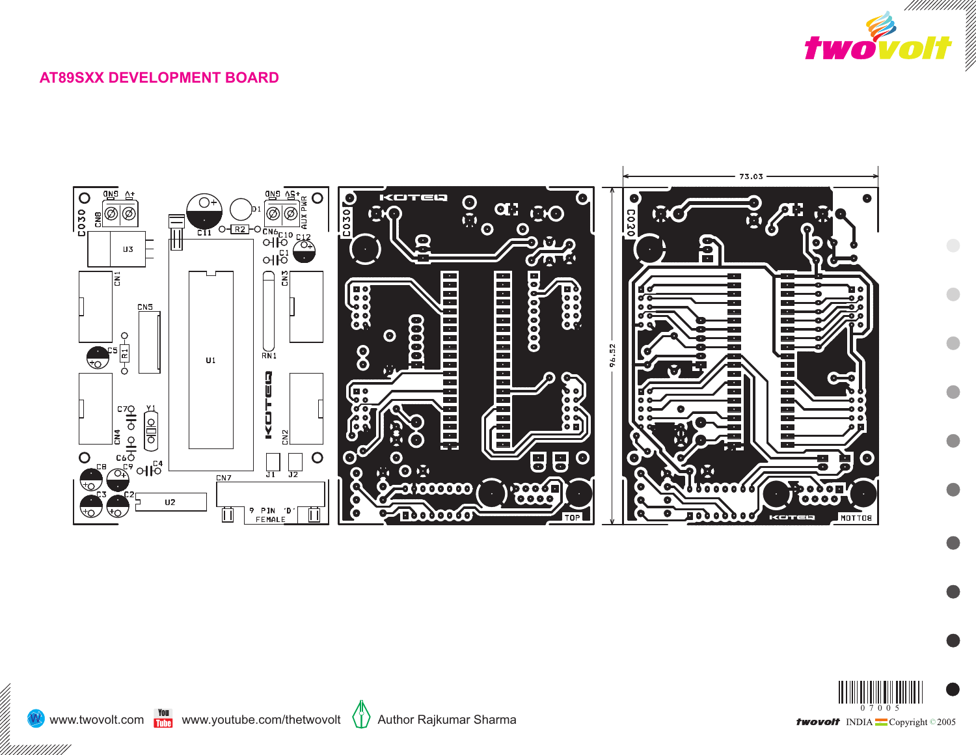

## **AT89SXX DEVELOPMENT BOARD**